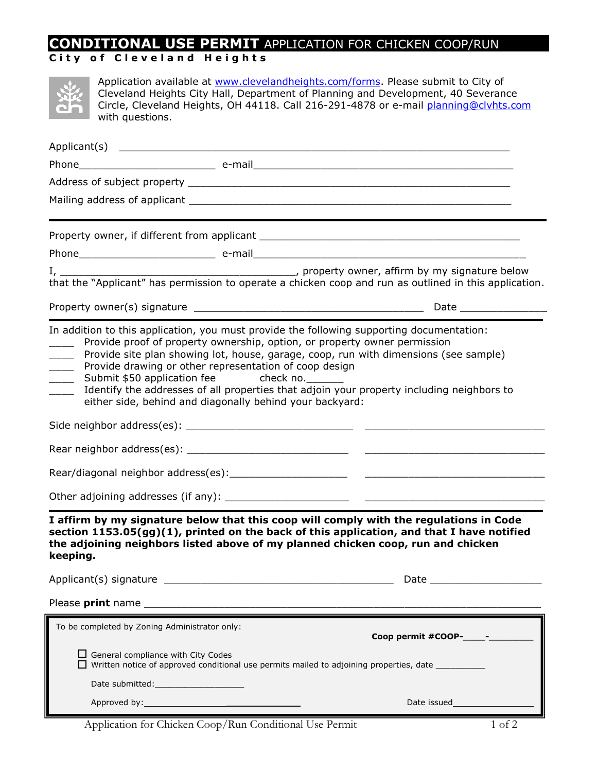## **CONDITIONAL USE PERMIT** APPLICATION FOR CHICKEN COOP/RUN

## **C i t y o f C l e v e l a n d H e i g h t s**

| Application available at www.clevelandheights.com/forms. Please submit to City of<br>Cleveland Heights City Hall, Department of Planning and Development, 40 Severance<br>Circle, Cleveland Heights, OH 44118. Call 216-291-4878 or e-mail planning@clvhts.com<br>with questions.                                                                                                                                                                                                                                                                                                                                                                                                                        |                                |
|----------------------------------------------------------------------------------------------------------------------------------------------------------------------------------------------------------------------------------------------------------------------------------------------------------------------------------------------------------------------------------------------------------------------------------------------------------------------------------------------------------------------------------------------------------------------------------------------------------------------------------------------------------------------------------------------------------|--------------------------------|
|                                                                                                                                                                                                                                                                                                                                                                                                                                                                                                                                                                                                                                                                                                          |                                |
|                                                                                                                                                                                                                                                                                                                                                                                                                                                                                                                                                                                                                                                                                                          |                                |
|                                                                                                                                                                                                                                                                                                                                                                                                                                                                                                                                                                                                                                                                                                          |                                |
|                                                                                                                                                                                                                                                                                                                                                                                                                                                                                                                                                                                                                                                                                                          |                                |
|                                                                                                                                                                                                                                                                                                                                                                                                                                                                                                                                                                                                                                                                                                          |                                |
|                                                                                                                                                                                                                                                                                                                                                                                                                                                                                                                                                                                                                                                                                                          |                                |
| I, $\frac{1}{2}$ property owner, affirm by my signature below $\frac{1}{2}$ , property owner, affirm by my signature below                                                                                                                                                                                                                                                                                                                                                                                                                                                                                                                                                                               |                                |
|                                                                                                                                                                                                                                                                                                                                                                                                                                                                                                                                                                                                                                                                                                          |                                |
| In addition to this application, you must provide the following supporting documentation:<br>Provide proof of property ownership, option, or property owner permission<br>Provide site plan showing lot, house, garage, coop, run with dimensions (see sample)<br>$\overline{\phantom{a}}$<br>Provide drawing or other representation of coop design<br>$\overline{\phantom{a}}$<br>Submit \$50 application fee check no.<br>$\overline{\phantom{a}}$<br>Identify the addresses of all properties that adjoin your property including neighbors to<br>either side, behind and diagonally behind your backyard:<br>I affirm by my signature below that this coop will comply with the regulations in Code |                                |
| section 1153.05(gg)(1), printed on the back of this application, and that I have notified<br>the adjoining neighbors listed above of my planned chicken coop, run and chicken<br>keeping.                                                                                                                                                                                                                                                                                                                                                                                                                                                                                                                |                                |
|                                                                                                                                                                                                                                                                                                                                                                                                                                                                                                                                                                                                                                                                                                          |                                |
|                                                                                                                                                                                                                                                                                                                                                                                                                                                                                                                                                                                                                                                                                                          |                                |
| To be completed by Zoning Administrator only:                                                                                                                                                                                                                                                                                                                                                                                                                                                                                                                                                                                                                                                            | Coop permit #COOP- $\_\_\_\$ - |
| $\Box$ General compliance with City Codes<br>$\Box$ Written notice of approved conditional use permits mailed to adjoining properties, date                                                                                                                                                                                                                                                                                                                                                                                                                                                                                                                                                              |                                |
|                                                                                                                                                                                                                                                                                                                                                                                                                                                                                                                                                                                                                                                                                                          |                                |
|                                                                                                                                                                                                                                                                                                                                                                                                                                                                                                                                                                                                                                                                                                          |                                |

Application for Chicken Coop/Run Conditional Use Permit 1 of 2